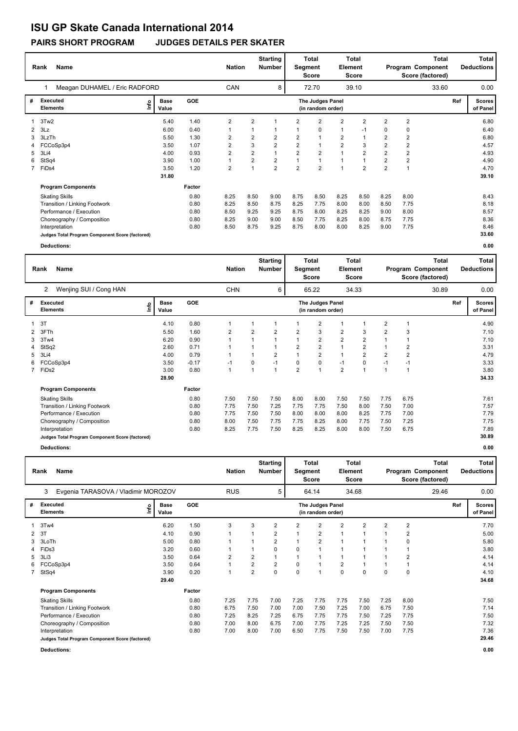### **ISU GP Skate Canada International 2014**

### **PAIRS SHORT PROGRAM JUDGES DETAILS PER SKATER**

|   | Name<br>Rank                                    | <b>Nation</b>        |        | <b>Starting</b><br><b>Number</b> | <b>Total</b><br>Segment<br><b>Score</b> |                         | Total<br><b>Element</b><br><b>Score</b> |                                       | Total<br>Program Component<br>Score (factored) |                |                |                | Total<br><b>Deductions</b> |     |                           |
|---|-------------------------------------------------|----------------------|--------|----------------------------------|-----------------------------------------|-------------------------|-----------------------------------------|---------------------------------------|------------------------------------------------|----------------|----------------|----------------|----------------------------|-----|---------------------------|
|   | Meagan DUHAMEL / Eric RADFORD                   |                      |        | <b>CAN</b>                       |                                         | 8                       |                                         | 72.70                                 |                                                | 39.10          |                |                | 33.60                      |     | 0.00                      |
| # | <b>Executed</b><br>١nf٥<br><b>Elements</b>      | <b>Base</b><br>Value | GOE    |                                  |                                         |                         |                                         | The Judges Panel<br>(in random order) |                                                |                |                |                |                            | Ref | <b>Scores</b><br>of Panel |
| 1 | 3Tw2                                            | 5.40                 | 1.40   | $\overline{2}$                   | $\overline{2}$                          | 1                       | 2                                       | $\overline{2}$                        | $\overline{2}$                                 | $\overline{2}$ | $\overline{2}$ | $\overline{2}$ |                            |     | 6.80                      |
|   | 3Lz                                             | 6.00                 | 0.40   | 1                                |                                         |                         |                                         | 0                                     | $\mathbf{1}$                                   | $-1$           | 0              | 0              |                            |     | 6.40                      |
|   | 3LzTh                                           | 5.50                 | 1.30   | $\overline{2}$                   | 2                                       | $\overline{\mathbf{c}}$ | $\overline{2}$                          | $\overline{1}$                        | $\overline{2}$                                 |                | $\overline{2}$ | $\overline{2}$ |                            |     | 6.80                      |
| 4 | FCCoSp3p4                                       | 3.50                 | 1.07   | 2                                | 3                                       | $\overline{2}$          | $\overline{2}$                          | $\mathbf{1}$                          | $\overline{2}$                                 | 3              | $\overline{2}$ | $\overline{2}$ |                            |     | 4.57                      |
| 5 | 3Li4                                            | 4.00                 | 0.93   | $\overline{2}$                   | $\overline{2}$                          |                         | $\overline{2}$                          | $\overline{2}$                        | $\mathbf{1}$                                   | $\overline{2}$ | $\overline{2}$ | $\overline{2}$ |                            |     | 4.93                      |
| 6 | StSq4                                           | 3.90                 | 1.00   | 1                                | $\overline{2}$                          | $\overline{2}$          |                                         | $\overline{1}$                        | $\overline{1}$                                 |                | $\overline{2}$ | $\overline{2}$ |                            |     | 4.90                      |
|   | 7 FiDs4                                         | 3.50                 | 1.20   | $\overline{2}$                   | $\overline{A}$                          | $\overline{2}$          | $\overline{2}$                          | $\overline{2}$                        | $\overline{A}$                                 | $\overline{2}$ | $\overline{2}$ |                |                            |     | 4.70                      |
|   |                                                 | 31.80                |        |                                  |                                         |                         |                                         |                                       |                                                |                |                |                |                            |     | 39.10                     |
|   | <b>Program Components</b>                       |                      | Factor |                                  |                                         |                         |                                         |                                       |                                                |                |                |                |                            |     |                           |
|   | <b>Skating Skills</b>                           |                      | 0.80   | 8.25                             | 8.50                                    | 9.00                    | 8.75                                    | 8.50                                  | 8.25                                           | 8.50           | 8.25           | 8.00           |                            |     | 8.43                      |
|   | Transition / Linking Footwork                   |                      | 0.80   | 8.25                             | 8.50                                    | 8.75                    | 8.25                                    | 7.75                                  | 8.00                                           | 8.00           | 8.50           | 7.75           |                            |     | 8.18                      |
|   | Performance / Execution                         |                      | 0.80   | 8.50                             | 9.25                                    | 9.25                    | 8.75                                    | 8.00                                  | 8.25                                           | 8.25           | 9.00           | 8.00           |                            |     | 8.57                      |
|   | Choreography / Composition                      |                      | 0.80   | 8.25                             | 9.00                                    | 9.00                    | 8.50                                    | 7.75                                  | 8.25                                           | 8.00           | 8.75           | 7.75           |                            |     | 8.36                      |
|   | Interpretation                                  |                      | 0.80   | 8.50                             | 8.75                                    | 9.25                    | 8.75                                    | 8.00                                  | 8.00                                           | 8.25           | 9.00           | 7.75           |                            |     | 8.46                      |
|   | Judges Total Program Component Score (factored) |                      |        |                                  |                                         |                         |                                         |                                       |                                                |                |                |                |                            |     | 33.60                     |
|   | Deductions:                                     |                      |        |                                  |                                         |                         |                                         |                                       |                                                |                |                |                |                            |     | 0.00                      |

|                | <b>Name</b><br>Rank                             |      |                      |            |              | <b>Total</b><br><b>Starting</b><br><b>Nation</b><br><b>Number</b><br>Segment<br><b>Score</b> |                |                |                                       | <b>Element</b> | <b>Total</b><br>Score | <b>Total</b><br>Program Component<br>Score (factored) |                |       | Total<br><b>Deductions</b> |                           |  |
|----------------|-------------------------------------------------|------|----------------------|------------|--------------|----------------------------------------------------------------------------------------------|----------------|----------------|---------------------------------------|----------------|-----------------------|-------------------------------------------------------|----------------|-------|----------------------------|---------------------------|--|
|                | Wenjing SUI / Cong HAN<br>2                     |      |                      |            | <b>CHN</b>   |                                                                                              | 6              |                | 65.22                                 |                | 34.33                 |                                                       |                | 30.89 |                            | 0.00                      |  |
| #              | <b>Executed</b><br><b>Elements</b>              | lnfo | <b>Base</b><br>Value | <b>GOE</b> |              |                                                                                              |                |                | The Judges Panel<br>(in random order) |                |                       |                                                       |                |       | Ref                        | <b>Scores</b><br>of Panel |  |
|                | 3T                                              |      | 4.10                 | 0.80       |              | $\mathbf 1$                                                                                  |                |                | $\overline{2}$                        | 1              |                       | $\overline{2}$                                        | 1              |       |                            | 4.90                      |  |
|                | 2 3FTh                                          |      | 5.50                 | 1.60       | 2            | $\overline{2}$                                                                               | $\overline{2}$ | 2              | 3                                     | 2              | 3                     | $\overline{2}$                                        | 3              |       |                            | 7.10                      |  |
| 3              | 3Tw4                                            |      | 6.20                 | 0.90       | 1            | 1                                                                                            |                | 1              | $\overline{2}$                        | $\overline{2}$ | $\overline{2}$        | 1                                                     | 1              |       |                            | 7.10                      |  |
|                | 4 StSq2                                         |      | 2.60                 | 0.71       |              | $\mathbf{1}$                                                                                 |                | $\overline{2}$ | $\overline{2}$                        | $\mathbf{1}$   | $\overline{2}$        | $\mathbf 1$                                           | 2              |       |                            | 3.31                      |  |
|                | 5 3Li4                                          |      | 4.00                 | 0.79       |              | 1                                                                                            | 2              | 1              | $\overline{2}$                        | $\mathbf{1}$   | $\overline{2}$        | $\overline{2}$                                        | $\overline{2}$ |       |                            | 4.79                      |  |
|                | 6 FCCoSp3p4                                     |      | 3.50                 | $-0.17$    | $-1$         | 0                                                                                            | $-1$           | 0              | $\pmb{0}$                             | $-1$           | $\pmb{0}$             | $-1$                                                  | $-1$           |       |                            | 3.33                      |  |
| $\overline{7}$ | FiDs2                                           |      | 3.00                 | 0.80       | $\mathbf{1}$ | 1                                                                                            |                | $\overline{2}$ | $\overline{1}$                        | $\overline{2}$ | $\overline{1}$        | $\overline{1}$                                        |                |       |                            | 3.80                      |  |
|                |                                                 |      | 28.90                |            |              |                                                                                              |                |                |                                       |                |                       |                                                       |                |       |                            | 34.33                     |  |
|                | <b>Program Components</b>                       |      |                      | Factor     |              |                                                                                              |                |                |                                       |                |                       |                                                       |                |       |                            |                           |  |
|                | <b>Skating Skills</b>                           |      |                      | 0.80       | 7.50         | 7.50                                                                                         | 7.50           | 8.00           | 8.00                                  | 7.50           | 7.50                  | 7.75                                                  | 6.75           |       |                            | 7.61                      |  |
|                | Transition / Linking Footwork                   |      |                      | 0.80       | 7.75         | 7.50                                                                                         | 7.25           | 7.75           | 7.75                                  | 7.50           | 8.00                  | 7.50                                                  | 7.00           |       |                            | 7.57                      |  |
|                | Performance / Execution                         |      |                      | 0.80       | 7.75         | 7.50                                                                                         | 7.50           | 8.00           | 8.00                                  | 8.00           | 8.25                  | 7.75                                                  | 7.00           |       |                            | 7.79                      |  |
|                | Choreography / Composition                      |      |                      | 0.80       | 8.00         | 7.50                                                                                         | 7.75           | 7.75           | 8.25                                  | 8.00           | 7.75                  | 7.50                                                  | 7.25           |       |                            | 7.75                      |  |
|                | Interpretation                                  |      |                      | 0.80       | 8.25         | 7.75                                                                                         | 7.50           | 8.25           | 8.25                                  | 8.00           | 8.00                  | 7.50                                                  | 6.75           |       |                            | 7.89                      |  |
|                | Judges Total Program Component Score (factored) |      |                      |            |              |                                                                                              |                |                |                                       |                |                       |                                                       |                |       |                            | 30.89                     |  |
|                | Deductions:                                     |      |                      |            |              |                                                                                              |                |                |                                       |                |                       |                                                       |                |       |                            | 0.00                      |  |

**Rank Name Total Nation Deductions Program Component Total Segment Score Total Element Score Total Score (factored) Starting Number** Evgenia TARASOVA / Vladimir MOROZOV RUS RUS 64.14 34.68 **# Executed Elements Base Value GOE Scores The Judges Panel of Panel** 1 6.20 1.50 3 3 2 2 2 2 2 2 2 **Ref**  7.70 3 **(in random order)** 29.46 3Tw4 **Info** 5 64.14 34.68 29.46 0.00 2 3T 4.10 0.90 1 1 2 1 2 1 1 1 2 5.00 3 3LoTh 5.00 0.80 1 1 2 1 2 1 1 1 0 5.80 4 FiDs3 3.20 0.60 1 1 0 0 1 1 1 1 1 3.80 5 3Li3 3.50 0.64 2 2 1 1 1 1 1 1 2 4.14 6 FCCoSp3p4 3.50 0.64 1 2 2 0 1 2 1 1 1 4.14 7 StSq4 3.90 0.20 1 2 0 0 1 0 0 0 0 4.10  **29.40 Program Components**  Skating Skills 7.25 7.75 7.00 7.25 7.75 7.75 7.50 7.25 8.00 **Factor** 0.80 7.25 7.75 7.00 7.25 7.75 7.75 7.50 7.25 8.00 7.50 7.50  **34.68** Transition / Linking Footwork 0.80 6.75 7.50 7.00 7.00 7.50 7.25 7.00 6.75 7.50 7.14 Performance / Execution 20.80 7.25 8.25 7.25 6.75 7.75 7.75 7.25 7.75 7.75 7.75 7.75 Choreography / Composition 0.80 7.00 8.00 6.75 7.00 7.75 7.25 7.25 7.50 7.50 7.32 Interpretation 0.80 7.00 8.00 7.00 6.50 7.75 7.50 7.50 7.00 7.75 7.36 **Judges Total Program Component Score (factored) 29.46 Deductions: 0.00**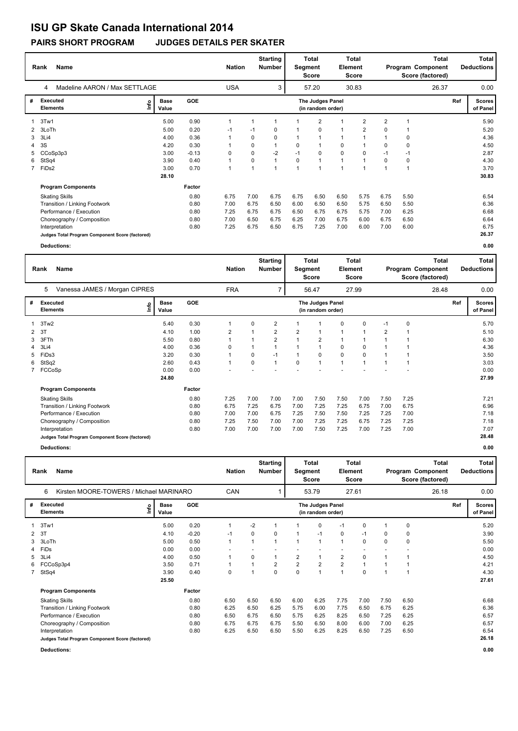# **ISU GP Skate Canada International 2014**

### **PAIRS SHORT PROGRAM JUDGES DETAILS PER SKATER**

|              | Name<br>Rank                                    | <b>Nation</b>                |            | <b>Starting</b><br>Number | Segment | <b>Total</b><br>Score | <b>Total</b><br>Element<br>Score |                                       |             | <b>Total</b><br>Program Component<br>Score (factored) |                | Total<br><b>Deductions</b> |       |     |                           |
|--------------|-------------------------------------------------|------------------------------|------------|---------------------------|---------|-----------------------|----------------------------------|---------------------------------------|-------------|-------------------------------------------------------|----------------|----------------------------|-------|-----|---------------------------|
|              | Madeline AARON / Max SETTLAGE<br>4              |                              |            | <b>USA</b>                |         | 3                     |                                  | 57.20                                 |             | 30.83                                                 |                |                            | 26.37 |     | 0.00                      |
| #            | Executed<br><b>Elements</b>                     | <b>Base</b><br>١nf٥<br>Value | <b>GOE</b> |                           |         |                       |                                  | The Judges Panel<br>(in random order) |             |                                                       |                |                            |       | Ref | <b>Scores</b><br>of Panel |
|              | 3Tw1                                            | 5.00                         | 0.90       | 1                         |         |                       |                                  | $\overline{2}$                        |             | 2                                                     | $\overline{2}$ |                            |       |     | 5.90                      |
| $\mathbf{2}$ | 3LoTh                                           | 5.00                         | 0.20       | $-1$                      | $-1$    | 0                     |                                  | 0                                     | 1           | 2                                                     | $\mathbf 0$    |                            |       |     | 5.20                      |
| 3            | 3Li4                                            | 4.00                         | 0.36       |                           | 0       | $\Omega$              |                                  | $\mathbf 1$                           |             |                                                       |                | 0                          |       |     | 4.36                      |
| 4            | 3S                                              | 4.20                         | 0.30       |                           | 0       |                       | 0                                | $\mathbf 1$                           | 0           |                                                       | 0              | 0                          |       |     | 4.50                      |
| 5            | CCoSp3p3                                        | 3.00                         | $-0.13$    | 0                         | 0       | $-2$                  | $-1$                             | 0                                     | $\mathbf 0$ | 0                                                     | $-1$           | $-1$                       |       |     | 2.87                      |
| 6            | StSq4                                           | 3.90                         | 0.40       |                           | 0       |                       | $\Omega$                         | $\mathbf{1}$                          |             |                                                       | 0              | $\mathbf 0$                |       |     | 4.30                      |
|              | 7 FiDs2                                         | 3.00                         | 0.70       | 1                         |         | 1                     |                                  | $\overline{1}$                        |             |                                                       |                |                            |       |     | 3.70                      |
|              |                                                 | 28.10                        |            |                           |         |                       |                                  |                                       |             |                                                       |                |                            |       |     | 30.83                     |
|              | <b>Program Components</b>                       |                              | Factor     |                           |         |                       |                                  |                                       |             |                                                       |                |                            |       |     |                           |
|              | <b>Skating Skills</b>                           |                              | 0.80       | 6.75                      | 7.00    | 6.75                  | 6.75                             | 6.50                                  | 6.50        | 5.75                                                  | 6.75           | 5.50                       |       |     | 6.54                      |
|              | Transition / Linking Footwork                   |                              | 0.80       | 7.00                      | 6.75    | 6.50                  | 6.00                             | 6.50                                  | 6.50        | 5.75                                                  | 6.50           | 5.50                       |       |     | 6.36                      |
|              | Performance / Execution                         |                              | 0.80       | 7.25                      | 6.75    | 6.75                  | 6.50                             | 6.75                                  | 6.75        | 5.75                                                  | 7.00           | 6.25                       |       |     | 6.68                      |
|              | Choreography / Composition                      |                              | 0.80       | 7.00                      | 6.50    | 6.75                  | 6.25                             | 7.00                                  | 6.75        | 6.00                                                  | 6.75           | 6.50                       |       |     | 6.64                      |
|              | Interpretation                                  |                              | 0.80       | 7.25                      | 6.75    | 6.50                  | 6.75                             | 7.25                                  | 7.00        | 6.00                                                  | 7.00           | 6.00                       |       |     | 6.75                      |
|              | Judges Total Program Component Score (factored) |                              |            |                           |         |                       |                                  |                                       |             |                                                       |                |                            |       |     | 26.37                     |

**Deductions: 0.00**

|   | <b>Name</b><br>Rank                             | <b>Nation</b>        |            | <b>Starting</b><br><b>Number</b> | <b>Total</b><br>Segment<br><b>Score</b> |                |                | <b>Total</b><br>Element<br><b>Score</b> | <b>Total</b><br>Program Component<br>Score (factored) |       |                | <b>Total</b><br><b>Deductions</b> |       |     |                           |
|---|-------------------------------------------------|----------------------|------------|----------------------------------|-----------------------------------------|----------------|----------------|-----------------------------------------|-------------------------------------------------------|-------|----------------|-----------------------------------|-------|-----|---------------------------|
|   | Vanessa JAMES / Morgan CIPRES<br>5              |                      |            | <b>FRA</b>                       |                                         | 7              |                | 56.47                                   |                                                       | 27.99 |                |                                   | 28.48 |     | 0.00                      |
| # | Executed<br>lnfo<br><b>Elements</b>             | <b>Base</b><br>Value | <b>GOE</b> |                                  |                                         |                |                | The Judges Panel<br>(in random order)   |                                                       |       |                |                                   |       | Ref | <b>Scores</b><br>of Panel |
|   | 3Tw2                                            | 5.40                 | 0.30       | 1                                | 0                                       | $\overline{2}$ |                |                                         | 0                                                     | 0     | $-1$           | $\mathbf 0$                       |       |     | 5.70                      |
| 2 | 3T                                              | 4.10                 | 1.00       | $\overline{2}$                   |                                         | $\overline{2}$ | $\overline{2}$ | $\overline{1}$                          | 1                                                     |       | $\overline{2}$ |                                   |       |     | 5.10                      |
| 3 | 3FTh                                            | 5.50                 | 0.80       |                                  |                                         | $\overline{2}$ |                | $\overline{2}$                          | 1                                                     |       |                |                                   |       |     | 6.30                      |
| 4 | 3Li4                                            | 4.00                 | 0.36       | $\Omega$                         |                                         | $\mathbf{1}$   |                | 1                                       | 0                                                     | 0     |                |                                   |       |     | 4.36                      |
| 5 | FiDs3                                           | 3.20                 | 0.30       |                                  | 0                                       | $-1$           |                | 0                                       | 0                                                     | 0     |                |                                   |       |     | 3.50                      |
| 6 | StSq2                                           | 2.60                 | 0.43       | $\mathbf{1}$                     | $\Omega$                                | $\mathbf{1}$   | $\Omega$       | 1                                       | 1                                                     |       |                |                                   |       |     | 3.03                      |
|   | FCCoSp                                          | 0.00                 | 0.00       |                                  |                                         |                |                |                                         |                                                       |       |                |                                   |       |     | 0.00                      |
|   |                                                 | 24.80                |            |                                  |                                         |                |                |                                         |                                                       |       |                |                                   |       |     | 27.99                     |
|   | <b>Program Components</b>                       |                      | Factor     |                                  |                                         |                |                |                                         |                                                       |       |                |                                   |       |     |                           |
|   | <b>Skating Skills</b>                           |                      | 0.80       | 7.25                             | 7.00                                    | 7.00           | 7.00           | 7.50                                    | 7.50                                                  | 7.00  | 7.50           | 7.25                              |       |     | 7.21                      |
|   | Transition / Linking Footwork                   |                      | 0.80       | 6.75                             | 7.25                                    | 6.75           | 7.00           | 7.25                                    | 7.25                                                  | 6.75  | 7.00           | 6.75                              |       |     | 6.96                      |
|   | Performance / Execution                         |                      | 0.80       | 7.00                             | 7.00                                    | 6.75           | 7.25           | 7.50                                    | 7.50                                                  | 7.25  | 7.25           | 7.00                              |       |     | 7.18                      |
|   | Choreography / Composition                      |                      | 0.80       | 7.25                             | 7.50                                    | 7.00           | 7.00           | 7.25                                    | 7.25                                                  | 6.75  | 7.25           | 7.25                              |       |     | 7.18                      |
|   | Interpretation                                  |                      | 0.80       | 7.00                             | 7.00                                    | 7.00           | 7.00           | 7.50                                    | 7.25                                                  | 7.00  | 7.25           | 7.00                              |       |     | 7.07                      |
|   | Judges Total Program Component Score (factored) |                      |            |                                  |                                         |                |                |                                         |                                                       |       |                |                                   |       |     | 28.48                     |

**Deductions: 0.00**

|   | Name<br>Rank                                    | <b>Nation</b>        |            | <b>Starting</b><br><b>Number</b> | <b>Total</b><br><b>Total</b><br>Element<br>Segment<br><b>Score</b><br><b>Score</b> |                |                |                                       | Total<br>Program Component<br>Score (factored) |              |          | Total<br><b>Deductions</b> |       |     |                           |
|---|-------------------------------------------------|----------------------|------------|----------------------------------|------------------------------------------------------------------------------------|----------------|----------------|---------------------------------------|------------------------------------------------|--------------|----------|----------------------------|-------|-----|---------------------------|
|   | Kirsten MOORE-TOWERS / Michael MARINARO<br>6    |                      |            | CAN                              |                                                                                    |                |                | 53.79                                 |                                                | 27.61        |          |                            | 26.18 |     | 0.00                      |
| # | <b>Executed</b><br>۴ů<br><b>Elements</b>        | <b>Base</b><br>Value | <b>GOE</b> |                                  |                                                                                    |                |                | The Judges Panel<br>(in random order) |                                                |              |          |                            |       | Ref | <b>Scores</b><br>of Panel |
|   | 3Tw1                                            | 5.00                 | 0.20       |                                  | $-2$                                                                               |                |                | 0                                     | $-1$                                           | 0            |          | 0                          |       |     | 5.20                      |
| 2 | 3T                                              | 4.10                 | $-0.20$    | $-1$                             | 0                                                                                  | 0              | 1              | $-1$                                  | 0                                              | $-1$         | 0        | 0                          |       |     | 3.90                      |
| 3 | 3LoTh                                           | 5.00                 | 0.50       | $\mathbf{1}$                     | 1                                                                                  |                | 1              | 1                                     | $\mathbf{1}$                                   | $\mathbf 0$  | $\Omega$ | 0                          |       |     | 5.50                      |
| 4 | FiDs                                            | 0.00                 | 0.00       |                                  |                                                                                    |                |                |                                       |                                                |              |          |                            |       |     | 0.00                      |
| 5 | 3Li4                                            | 4.00                 | 0.50       |                                  | 0                                                                                  |                | $\overline{2}$ | 1                                     | $\overline{\mathbf{c}}$                        | $\mathbf 0$  |          |                            |       |     | 4.50                      |
| 6 | FCCoSp3p4                                       | 3.50                 | 0.71       |                                  |                                                                                    | $\overline{2}$ | $\overline{2}$ | $\overline{2}$                        | $\overline{2}$                                 | $\mathbf{1}$ |          |                            |       |     | 4.21                      |
|   | StSq4                                           | 3.90                 | 0.40       | 0                                |                                                                                    | 0              | 0              | 1                                     | $\overline{1}$                                 | 0            |          |                            |       |     | 4.30                      |
|   |                                                 | 25.50                |            |                                  |                                                                                    |                |                |                                       |                                                |              |          |                            |       |     | 27.61                     |
|   | <b>Program Components</b>                       |                      | Factor     |                                  |                                                                                    |                |                |                                       |                                                |              |          |                            |       |     |                           |
|   | <b>Skating Skills</b>                           |                      | 0.80       | 6.50                             | 6.50                                                                               | 6.50           | 6.00           | 6.25                                  | 7.75                                           | 7.00         | 7.50     | 6.50                       |       |     | 6.68                      |
|   | Transition / Linking Footwork                   |                      | 0.80       | 6.25                             | 6.50                                                                               | 6.25           | 5.75           | 6.00                                  | 7.75                                           | 6.50         | 6.75     | 6.25                       |       |     | 6.36                      |
|   | Performance / Execution                         |                      | 0.80       | 6.50                             | 6.75                                                                               | 6.50           | 5.75           | 6.25                                  | 8.25                                           | 6.50         | 7.25     | 6.25                       |       |     | 6.57                      |
|   | Choreography / Composition                      |                      | 0.80       | 6.75                             | 6.75                                                                               | 6.75           | 5.50           | 6.50                                  | 8.00                                           | 6.00         | 7.00     | 6.25                       |       |     | 6.57                      |
|   | Interpretation                                  |                      | 0.80       | 6.25                             | 6.50                                                                               | 6.50           | 5.50           | 6.25                                  | 8.25                                           | 6.50         | 7.25     | 6.50                       |       |     | 6.54                      |
|   | Judges Total Program Component Score (factored) |                      |            |                                  |                                                                                    |                |                |                                       |                                                |              |          |                            |       |     | 26.18                     |

**Deductions: 0.00**